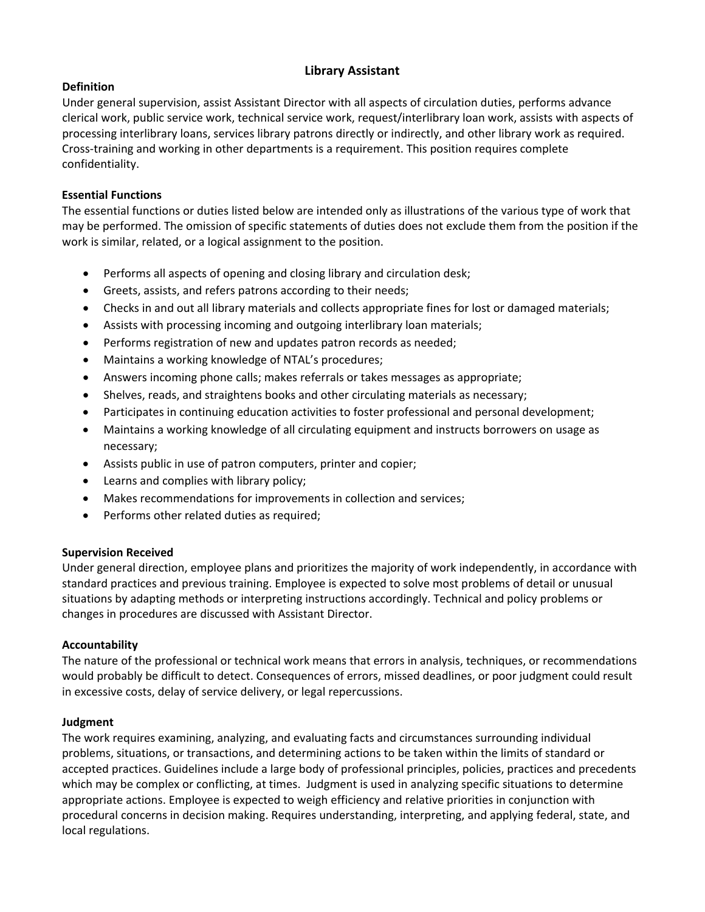## **Library Assistant**

## **Definition**

Under general supervision, assist Assistant Director with all aspects of circulation duties, performs advance clerical work, public service work, technical service work, request/interlibrary loan work, assists with aspects of processing interlibrary loans, services library patrons directly or indirectly, and other library work as required. Cross-training and working in other departments is a requirement. This position requires complete confidentiality.

## **Essential Functions**

The essential functions or duties listed below are intended only as illustrations of the various type of work that may be performed. The omission of specific statements of duties does not exclude them from the position if the work is similar, related, or a logical assignment to the position.

- Performs all aspects of opening and closing library and circulation desk;
- Greets, assists, and refers patrons according to their needs;
- Checks in and out all library materials and collects appropriate fines for lost or damaged materials;
- Assists with processing incoming and outgoing interlibrary loan materials;
- Performs registration of new and updates patron records as needed;
- Maintains a working knowledge of NTAL's procedures;
- Answers incoming phone calls; makes referrals or takes messages as appropriate;
- Shelves, reads, and straightens books and other circulating materials as necessary;
- Participates in continuing education activities to foster professional and personal development;
- Maintains a working knowledge of all circulating equipment and instructs borrowers on usage as necessary;
- Assists public in use of patron computers, printer and copier;
- Learns and complies with library policy;
- Makes recommendations for improvements in collection and services;
- Performs other related duties as required;

## **Supervision Received**

Under general direction, employee plans and prioritizes the majority of work independently, in accordance with standard practices and previous training. Employee is expected to solve most problems of detail or unusual situations by adapting methods or interpreting instructions accordingly. Technical and policy problems or changes in procedures are discussed with Assistant Director.

## **Accountability**

The nature of the professional or technical work means that errors in analysis, techniques, or recommendations would probably be difficult to detect. Consequences of errors, missed deadlines, or poor judgment could result in excessive costs, delay of service delivery, or legal repercussions.

## **Judgment**

The work requires examining, analyzing, and evaluating facts and circumstances surrounding individual problems, situations, or transactions, and determining actions to be taken within the limits of standard or accepted practices. Guidelines include a large body of professional principles, policies, practices and precedents which may be complex or conflicting, at times. Judgment is used in analyzing specific situations to determine appropriate actions. Employee is expected to weigh efficiency and relative priorities in conjunction with procedural concerns in decision making. Requires understanding, interpreting, and applying federal, state, and local regulations.